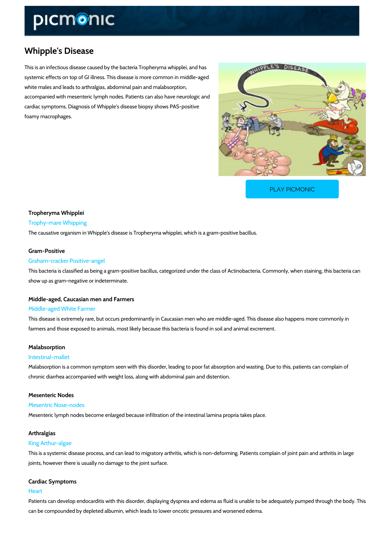# Whipple's Disease

This is an infectious disease caused by the bacteria Tropheryma whipplei, and has systemic effects on top of GI illness. This disease is more common in middle-aged white males and leads to arthralgias, abdominal pain and malabsorption, accompanied with mesenteric lymph nodes. Patients can also have neurologic and cardiac symptoms. Diagnosis of Whipple's disease biopsy shows PAS-positive foamy macrophages.

[PLAY PICMONIC](https://www.picmonic.com/learn/whipple-s-disease_1706?utm_source=downloadable_content&utm_medium=distributedcontent&utm_campaign=pathways_pdf&utm_content=Whipple)

## Tropheryma Whipplei Trophy-mare Whipping

The causative organism in Whipple's disease is Tropheryma whipplei, which is a gram-positive

#### Gram-Positive

#### Graham-cracker Positive-angel

This bacteria is classified as being a gram-positive bacillus, categorized under the class of A show up as gram-negative or indeterminate.

#### Middle-aged, Caucasian men and Farmers

#### Middle-aged White Farmer

This disease is extremely rare, but occurs predominantly in Caucasian men who are middle-ag farmers and those exposed to animals, most likely because this bacteria is found in soil and a

#### Malabsorption

#### Intestinal-mallet

Malabsorption is a common symptom seen with this disorder, leading to poor fat absorption an chronic diarrhea accompanied with weight loss, along with abdominal pain and distention.

### Mesenteric Nodes

#### Mesentric Nose-nodes

Mesenteric lymph nodes become enlarged because infiltration of the intestinal lamina propria

#### Arthralgias

#### King Arthur-algae

This is a systemic disease process, and can lead to migratory arthritis, which is non-deformin joints, however there is usually no damage to the joint surface.

#### Cardiac Symptoms

#### Heart

Patients can develop endocarditis with this disorder, displaying dyspnea and edema as fluid i can be compounded by depleted albumin, which leads to lower oncotic pressures and worsened